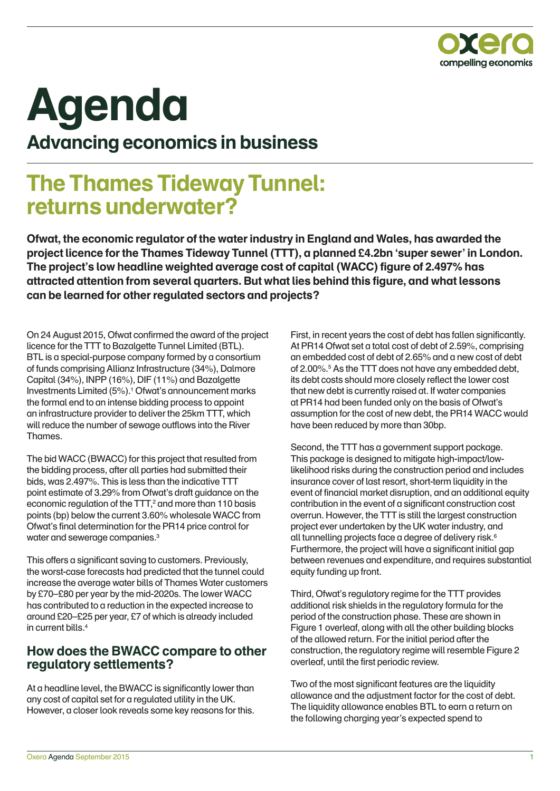

# **Agenda Advancing economics in business**

# **The Thames Tideway Tunnel: returns underwater?**

**Ofwat, the economic regulator of the water industry in England and Wales, has awarded the project licence for the Thames Tideway Tunnel (TTT), a planned £4.2bn 'super sewer' in London. The project's low headline weighted average cost of capital (WACC) figure of 2.497% has attracted attention from several quarters. But what lies behind this figure, and what lessons can be learned for other regulated sectors and projects?**

On 24 August 2015, Ofwat confirmed the award of the project licence for the TTT to Bazalgette Tunnel Limited (BTL). BTL is a special-purpose company formed by a consortium of funds comprising Allianz Infrastructure (34%), Dalmore Capital (34%), INPP (16%), DIF (11%) and Bazalgette Investments Limited (5%).1 Ofwat's announcement marks the formal end to an intense bidding process to appoint an infrastructure provider to deliver the 25km TTT, which will reduce the number of sewage outflows into the River Thames.

The bid WACC (BWACC) for this project that resulted from the bidding process, after all parties had submitted their bids, was 2.497%. This is less than the indicative TTT point estimate of 3.29% from Ofwat's draft guidance on the economic regulation of the TTT, $^2$  and more than 110 basis points (bp) below the current 3.60% wholesale WACC from Ofwat's final determination for the PR14 price control for water and sewerage companies.<sup>3</sup>

This offers a significant saving to customers. Previously, the worst-case forecasts had predicted that the tunnel could increase the average water bills of Thames Water customers by £70–£80 per year by the mid-2020s. The lower WACC has contributed to a reduction in the expected increase to around £20–£25 per year, £7 of which is already included in current bills.4

#### **How does the BWACC compare to other regulatory settlements?**

At a headline level, the BWACC is significantly lower than any cost of capital set for a regulated utility in the UK. However, a closer look reveals some key reasons for this.

First, in recent years the cost of debt has fallen significantly. At PR14 Ofwat set a total cost of debt of 2.59%, comprising an embedded cost of debt of 2.65% and a new cost of debt of 2.00%.<sup>5</sup> As the TTT does not have any embedded debt, its debt costs should more closely reflect the lower cost that new debt is currently raised at. If water companies at PR14 had been funded only on the basis of Ofwat's assumption for the cost of new debt, the PR14 WACC would have been reduced by more than 30bp.

Second, the TTT has a government support package. This package is designed to mitigate high-impact/lowlikelihood risks during the construction period and includes insurance cover of last resort, short-term liquidity in the event of financial market disruption, and an additional equity contribution in the event of a significant construction cost overrun. However, the TTT is still the largest construction project ever undertaken by the UK water industry, and all tunnelling projects face a degree of delivery risk.<sup>6</sup> Furthermore, the project will have a significant initial gap between revenues and expenditure, and requires substantial equity funding up front.

Third, Ofwat's regulatory regime for the TTT provides additional risk shields in the regulatory formula for the period of the construction phase. These are shown in Figure 1 overleaf, along with all the other building blocks of the allowed return. For the initial period after the construction, the regulatory regime will resemble Figure 2 overleaf, until the first periodic review.

Two of the most significant features are the liquidity allowance and the adjustment factor for the cost of debt. The liquidity allowance enables BTL to earn a return on the following charging year's expected spend to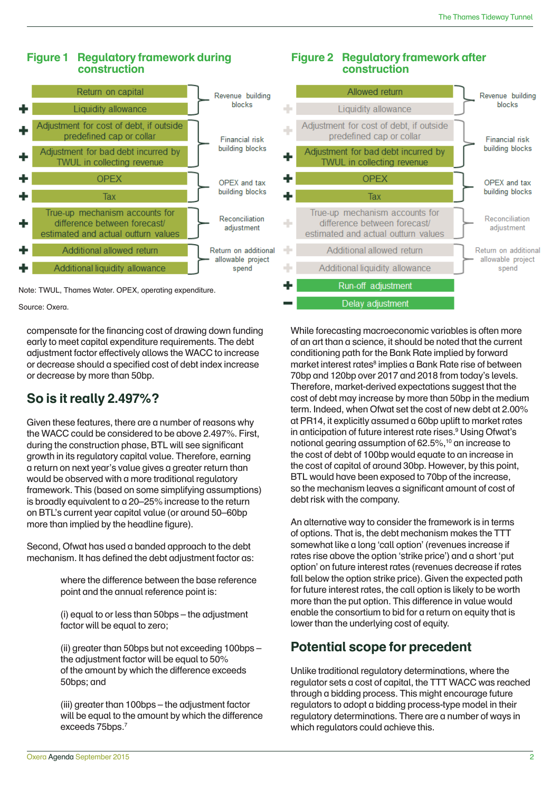#### **Figure 1 Regulatory framework during construction**





Source: Oxera.

compensate for the financing cost of drawing down funding early to meet capital expenditure requirements. The debt adjustment factor effectively allows the WACC to increase or decrease should a specified cost of debt index increase or decrease by more than 50bp.

## **So is it really 2.497%?**

Given these features, there are a number of reasons why the WACC could be considered to be above 2.497%. First, during the construction phase, BTL will see significant growth in its regulatory capital value. Therefore, earning a return on next year's value gives a greater return than would be observed with a more traditional regulatory framework. This (based on some simplifying assumptions) is broadly equivalent to a 20–25% increase to the return on BTL's current year capital value (or around 50–60bp more than implied by the headline figure).

Second, Ofwat has used a banded approach to the debt mechanism. It has defined the debt adjustment factor as:

> where the difference between the base reference point and the annual reference point is:

(i) equal to or less than 50bps – the adjustment factor will be equal to zero;

(ii) greater than 50bps but not exceeding 100bps – the adjustment factor will be equal to 50% of the amount by which the difference exceeds 50bps; and

(iii) greater than 100bps – the adjustment factor will be equal to the amount by which the difference exceeds 75bps.7

#### **Figure 2 Regulatory framework after construction**



While forecasting macroeconomic variables is often more of an art than a science, it should be noted that the current conditioning path for the Bank Rate implied by forward market interest rates<sup>8</sup> implies a Bank Rate rise of between 70bp and 120bp over 2017 and 2018 from today's levels. Therefore, market-derived expectations suggest that the cost of debt may increase by more than 50bp in the medium term. Indeed, when Ofwat set the cost of new debt at 2.00% at PR14, it explicitly assumed a 60bp uplift to market rates in anticipation of future interest rate rises.<sup>9</sup> Using Ofwat's notional gearing assumption of 62.5%,10 an increase to the cost of debt of 100bp would equate to an increase in the cost of capital of around 30bp. However, by this point, BTL would have been exposed to 70bp of the increase, so the mechanism leaves a significant amount of cost of debt risk with the company.

An alternative way to consider the framework is in terms of options. That is, the debt mechanism makes the TTT somewhat like a long 'call option' (revenues increase if rates rise above the option 'strike price') and a short 'put option' on future interest rates (revenues decrease if rates fall below the option strike price). Given the expected path for future interest rates, the call option is likely to be worth more than the put option. This difference in value would enable the consortium to bid for a return on equity that is lower than the underlying cost of equity.

## **Potential scope for precedent**

Unlike traditional regulatory determinations, where the regulator sets a cost of capital, the TTT WACC was reached through a bidding process. This might encourage future regulators to adopt a bidding process-type model in their regulatory determinations. There are a number of ways in which regulators could achieve this.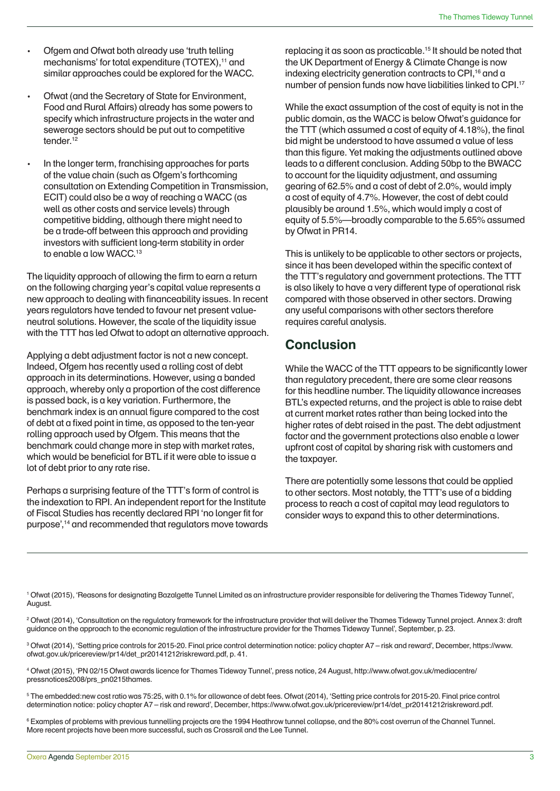- Ofgem and Ofwat both already use 'truth telling mechanisms' for total expenditure (TOTEX),<sup>11</sup> and similar approaches could be explored for the WACC.
- Ofwat (and the Secretary of State for Environment, Food and Rural Affairs) already has some powers to specify which infrastructure projects in the water and sewerage sectors should be put out to competitive tender $12$
- In the longer term, franchising approaches for parts of the value chain (such as Ofgem's forthcoming consultation on Extending Competition in Transmission, ECIT) could also be a way of reaching a WACC (as well as other costs and service levels) through competitive bidding, although there might need to be a trade-off between this approach and providing investors with sufficient long-term stability in order to enable a low WACC.<sup>13</sup>

The liquidity approach of allowing the firm to earn a return on the following charging year's capital value represents a new approach to dealing with financeability issues. In recent years regulators have tended to favour net present valueneutral solutions. However, the scale of the liquidity issue with the TTT has led Ofwat to adopt an alternative approach.

Applying a debt adjustment factor is not a new concept. Indeed, Ofgem has recently used a rolling cost of debt approach in its determinations. However, using a banded approach, whereby only a proportion of the cost difference is passed back, is a key variation. Furthermore, the benchmark index is an annual figure compared to the cost of debt at a fixed point in time, as opposed to the ten-year rolling approach used by Ofgem. This means that the benchmark could change more in step with market rates, which would be beneficial for BTL if it were able to issue a lot of debt prior to any rate rise.

Perhaps a surprising feature of the TTT's form of control is the indexation to RPI. An independent report for the Institute of Fiscal Studies has recently declared RPI 'no longer fit for purpose',14 and recommended that regulators move towards

replacing it as soon as practicable.15 It should be noted that the UK Department of Energy & Climate Change is now indexing electricity generation contracts to CPI,<sup>16</sup> and a number of pension funds now have liabilities linked to CPI.17

While the exact assumption of the cost of equity is not in the public domain, as the WACC is below Ofwat's guidance for the TTT (which assumed a cost of equity of 4.18%), the final bid might be understood to have assumed a value of less than this figure. Yet making the adjustments outlined above leads to a different conclusion. Adding 50bp to the BWACC to account for the liquidity adjustment, and assuming gearing of 62.5% and a cost of debt of 2.0%, would imply a cost of equity of 4.7%. However, the cost of debt could plausibly be around 1.5%, which would imply a cost of equity of 5.5%—broadly comparable to the 5.65% assumed by Ofwat in PR14.

This is unlikely to be applicable to other sectors or projects, since it has been developed within the specific context of the TTT's regulatory and government protections. The TTT is also likely to have a very different type of operational risk compared with those observed in other sectors. Drawing any useful comparisons with other sectors therefore requires careful analysis.

#### **Conclusion**

While the WACC of the TTT appears to be significantly lower than regulatory precedent, there are some clear reasons for this headline number. The liquidity allowance increases BTL's expected returns, and the project is able to raise debt at current market rates rather than being locked into the higher rates of debt raised in the past. The debt adjustment factor and the government protections also enable a lower upfront cost of capital by sharing risk with customers and the taxpayer.

There are potentially some lessons that could be applied to other sectors. Most notably, the TTT's use of a bidding process to reach a cost of capital may lead regulators to consider ways to expand this to other determinations.

1 Ofwat (2015), 'Reasons for designating Bazalgette Tunnel Limited as an infrastructure provider responsible for delivering the Thames Tideway Tunnel', August.

2 Ofwat (2014), 'Consultation on the regulatory framework for the infrastructure provider that will deliver the Thames Tideway Tunnel project. Annex 3: draft guidance on the approach to the economic regulation of the infrastructure provider for the Thames Tideway Tunnel', September, p. 23.

3 Ofwat (2014), 'Setting price controls for 2015-20. Final price control determination notice: policy chapter A7 – risk and reward', December, https://www. ofwat.gov.uk/pricereview/pr14/det\_pr20141212riskreward.pdf, p. 41.

4 Ofwat (2015), 'PN 02/15 Ofwat awards licence for Thames Tideway Tunnel', press notice, 24 August, http://www.ofwat.gov.uk/mediacentre/ pressnotices2008/prs\_pn0215thames.

5 The embedded:new cost ratio was 75:25, with 0.1% for allowance of debt fees. Ofwat (2014), 'Setting price controls for 2015-20. Final price control determination notice: policy chapter A7 – risk and reward', December, https://www.ofwat.gov.uk/pricereview/pr14/det\_pr20141212riskreward.pdf.

 $^6$  Examples of problems with previous tunnelling projects are the 1994 Heathrow tunnel collapse, and the 80% cost overrun of the Channel Tunnel. More recent projects have been more successful, such as Crossrail and the Lee Tunnel.